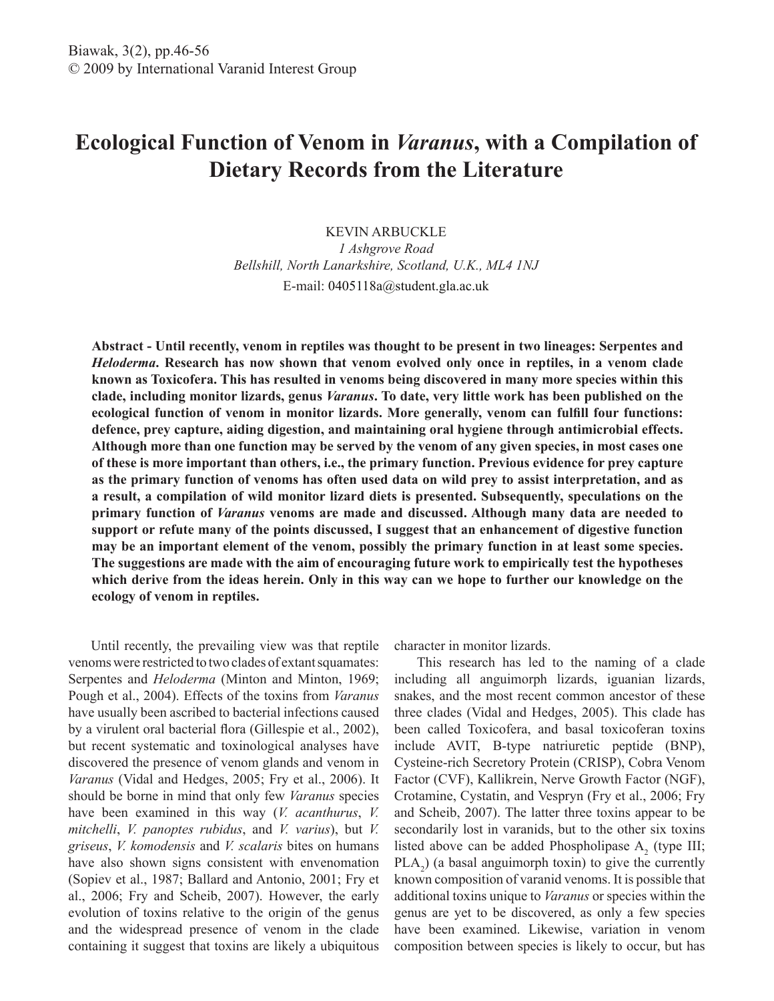# **Ecological Function of Venom in** *Varanus***, with a Compilation of Dietary Records from the Literature**

KEVIN ARBUCKLE *1 Ashgrove Road Bellshill, North Lanarkshire, Scotland, U.K., ML4 1NJ* E-mail: 0405118a@student.gla.ac.uk

**Abstract - Until recently, venom in reptiles was thought to be present in two lineages: Serpentes and**  *Heloderma***. Research has now shown that venom evolved only once in reptiles, in a venom clade known as Toxicofera. This has resulted in venoms being discovered in many more species within this clade, including monitor lizards, genus** *Varanus***. To date, very little work has been published on the ecological function of venom in monitor lizards. More generally, venom can fulfill four functions: defence, prey capture, aiding digestion, and maintaining oral hygiene through antimicrobial effects. Although more than one function may be served by the venom of any given species, in most cases one of these is more important than others, i.e., the primary function. Previous evidence for prey capture as the primary function of venoms has often used data on wild prey to assist interpretation, and as a result, a compilation of wild monitor lizard diets is presented. Subsequently, speculations on the primary function of** *Varanus* **venoms are made and discussed. Although many data are needed to support or refute many of the points discussed, I suggest that an enhancement of digestive function may be an important element of the venom, possibly the primary function in at least some species. The suggestions are made with the aim of encouraging future work to empirically test the hypotheses which derive from the ideas herein. Only in this way can we hope to further our knowledge on the ecology of venom in reptiles.**

Until recently, the prevailing view was that reptile venoms were restricted to two clades of extant squamates: Serpentes and *Heloderma* (Minton and Minton, 1969; Pough et al., 2004). Effects of the toxins from *Varanus* have usually been ascribed to bacterial infections caused by a virulent oral bacterial flora (Gillespie et al., 2002), but recent systematic and toxinological analyses have discovered the presence of venom glands and venom in *Varanus* (Vidal and Hedges, 2005; Fry et al., 2006). It should be borne in mind that only few *Varanus* species have been examined in this way (*V. acanthurus*, *V. mitchelli*, *V. panoptes rubidus*, and *V. varius*), but *V. griseus*, *V. komodensis* and *V. scalaris* bites on humans have also shown signs consistent with envenomation (Sopiev et al., 1987; Ballard and Antonio, 2001; Fry et al., 2006; Fry and Scheib, 2007). However, the early evolution of toxins relative to the origin of the genus and the widespread presence of venom in the clade containing it suggest that toxins are likely a ubiquitous

character in monitor lizards.

This research has led to the naming of a clade including all anguimorph lizards, iguanian lizards, snakes, and the most recent common ancestor of these three clades (Vidal and Hedges, 2005). This clade has been called Toxicofera, and basal toxicoferan toxins include AVIT, B-type natriuretic peptide (BNP), Cysteine-rich Secretory Protein (CRISP), Cobra Venom Factor (CVF), Kallikrein, Nerve Growth Factor (NGF), Crotamine, Cystatin, and Vespryn (Fry et al., 2006; Fry and Scheib, 2007). The latter three toxins appear to be secondarily lost in varanids, but to the other six toxins listed above can be added Phospholipase  $A_2$  (type III;  $\text{PLA}_2$ ) (a basal anguimorph toxin) to give the currently known composition of varanid venoms. It is possible that additional toxins unique to *Varanus* or species within the genus are yet to be discovered, as only a few species have been examined. Likewise, variation in venom composition between species is likely to occur, but has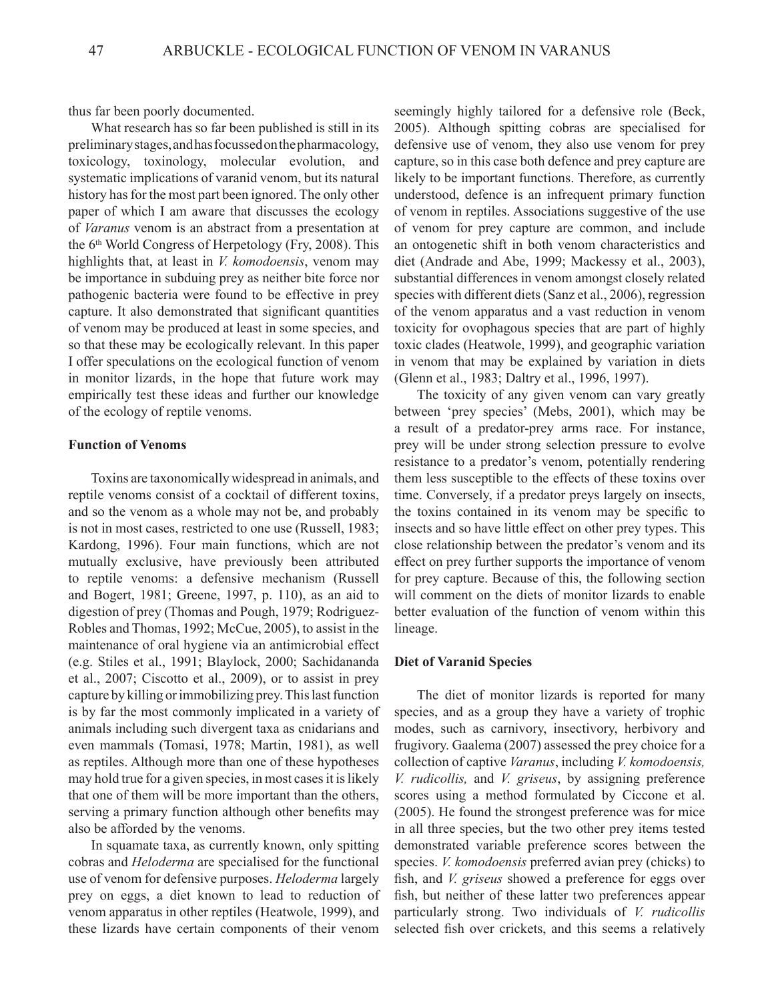thus far been poorly documented.

What research has so far been published is still in its preliminary stages, and has focussed on the pharmacology, toxicology, toxinology, molecular evolution, and systematic implications of varanid venom, but its natural history has for the most part been ignored. The only other paper of which I am aware that discusses the ecology of *Varanus* venom is an abstract from a presentation at the  $6<sup>th</sup>$  World Congress of Herpetology (Fry, 2008). This highlights that, at least in *V. komodoensis*, venom may be importance in subduing prey as neither bite force nor pathogenic bacteria were found to be effective in prey capture. It also demonstrated that significant quantities of venom may be produced at least in some species, and so that these may be ecologically relevant. In this paper I offer speculations on the ecological function of venom in monitor lizards, in the hope that future work may empirically test these ideas and further our knowledge of the ecology of reptile venoms.

#### **Function of Venoms**

Toxins are taxonomically widespread in animals, and reptile venoms consist of a cocktail of different toxins, and so the venom as a whole may not be, and probably is not in most cases, restricted to one use (Russell, 1983; Kardong, 1996). Four main functions, which are not mutually exclusive, have previously been attributed to reptile venoms: a defensive mechanism (Russell and Bogert, 1981; Greene, 1997, p. 110), as an aid to digestion of prey (Thomas and Pough, 1979; Rodriguez-Robles and Thomas, 1992; McCue, 2005), to assist in the maintenance of oral hygiene via an antimicrobial effect (e.g. Stiles et al., 1991; Blaylock, 2000; Sachidananda et al., 2007; Ciscotto et al., 2009), or to assist in prey capture by killing or immobilizing prey. This last function is by far the most commonly implicated in a variety of animals including such divergent taxa as cnidarians and even mammals (Tomasi, 1978; Martin, 1981), as well as reptiles. Although more than one of these hypotheses may hold true for a given species, in most cases it is likely that one of them will be more important than the others, serving a primary function although other benefits may also be afforded by the venoms.

In squamate taxa, as currently known, only spitting cobras and *Heloderma* are specialised for the functional use of venom for defensive purposes. *Heloderma* largely prey on eggs, a diet known to lead to reduction of venom apparatus in other reptiles (Heatwole, 1999), and these lizards have certain components of their venom

seemingly highly tailored for a defensive role (Beck, 2005). Although spitting cobras are specialised for defensive use of venom, they also use venom for prey capture, so in this case both defence and prey capture are likely to be important functions. Therefore, as currently understood, defence is an infrequent primary function of venom in reptiles. Associations suggestive of the use of venom for prey capture are common, and include an ontogenetic shift in both venom characteristics and diet (Andrade and Abe, 1999; Mackessy et al., 2003), substantial differences in venom amongst closely related species with different diets (Sanz et al., 2006), regression of the venom apparatus and a vast reduction in venom toxicity for ovophagous species that are part of highly toxic clades (Heatwole, 1999), and geographic variation in venom that may be explained by variation in diets (Glenn et al., 1983; Daltry et al., 1996, 1997).

The toxicity of any given venom can vary greatly between 'prey species' (Mebs, 2001), which may be a result of a predator-prey arms race. For instance, prey will be under strong selection pressure to evolve resistance to a predator's venom, potentially rendering them less susceptible to the effects of these toxins over time. Conversely, if a predator preys largely on insects, the toxins contained in its venom may be specific to insects and so have little effect on other prey types. This close relationship between the predator's venom and its effect on prey further supports the importance of venom for prey capture. Because of this, the following section will comment on the diets of monitor lizards to enable better evaluation of the function of venom within this lineage.

#### **Diet of Varanid Species**

The diet of monitor lizards is reported for many species, and as a group they have a variety of trophic modes, such as carnivory, insectivory, herbivory and frugivory. Gaalema (2007) assessed the prey choice for a collection of captive *Varanus*, including *V. komodoensis, V. rudicollis,* and *V. griseus*, by assigning preference scores using a method formulated by Ciccone et al. (2005). He found the strongest preference was for mice in all three species, but the two other prey items tested demonstrated variable preference scores between the species. *V. komodoensis* preferred avian prey (chicks) to fish, and *V. griseus* showed a preference for eggs over fish, but neither of these latter two preferences appear particularly strong. Two individuals of *V. rudicollis* selected fish over crickets, and this seems a relatively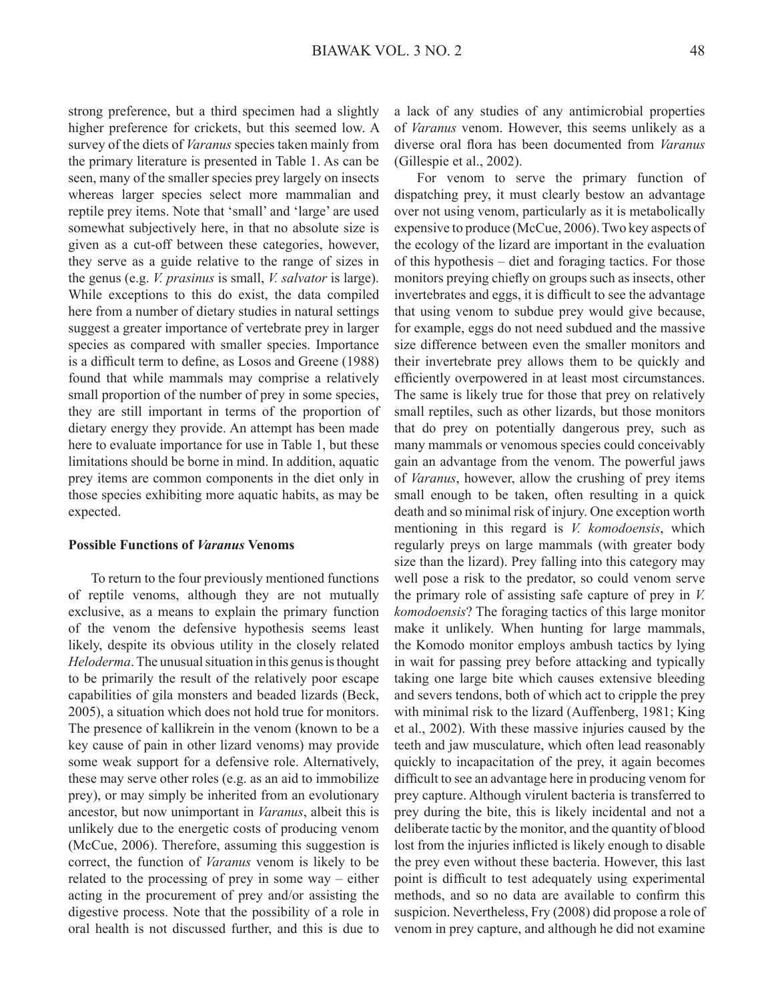strong preference, but a third specimen had a slightly higher preference for crickets, but this seemed low. A survey of the diets of *Varanus* species taken mainly from the primary literature is presented in Table 1. As can be seen, many of the smaller species prey largely on insects whereas larger species select more mammalian and reptile prey items. Note that 'small' and 'large' are used somewhat subjectively here, in that no absolute size is given as a cut-off between these categories, however, they serve as a guide relative to the range of sizes in the genus (e.g. *V. prasinus* is small, *V. salvator* is large). While exceptions to this do exist, the data compiled here from a number of dietary studies in natural settings suggest a greater importance of vertebrate prey in larger species as compared with smaller species. Importance is a difficult term to define, as Losos and Greene (1988) found that while mammals may comprise a relatively small proportion of the number of prey in some species, they are still important in terms of the proportion of dietary energy they provide. An attempt has been made here to evaluate importance for use in Table 1, but these limitations should be borne in mind. In addition, aquatic prey items are common components in the diet only in those species exhibiting more aquatic habits, as may be expected.

#### **Possible Functions of** *Varanus* **Venoms**

To return to the four previously mentioned functions of reptile venoms, although they are not mutually exclusive, as a means to explain the primary function of the venom the defensive hypothesis seems least likely, despite its obvious utility in the closely related *Heloderma*. The unusual situation in this genus is thought to be primarily the result of the relatively poor escape capabilities of gila monsters and beaded lizards (Beck, 2005), a situation which does not hold true for monitors. The presence of kallikrein in the venom (known to be a key cause of pain in other lizard venoms) may provide some weak support for a defensive role. Alternatively, these may serve other roles (e.g. as an aid to immobilize prey), or may simply be inherited from an evolutionary ancestor, but now unimportant in *Varanus*, albeit this is unlikely due to the energetic costs of producing venom (McCue, 2006). Therefore, assuming this suggestion is correct, the function of *Varanus* venom is likely to be related to the processing of prey in some way – either acting in the procurement of prey and/or assisting the digestive process. Note that the possibility of a role in oral health is not discussed further, and this is due to

a lack of any studies of any antimicrobial properties of *Varanus* venom. However, this seems unlikely as a diverse oral flora has been documented from *Varanus* (Gillespie et al., 2002).

For venom to serve the primary function of dispatching prey, it must clearly bestow an advantage over not using venom, particularly as it is metabolically expensive to produce (McCue, 2006). Two key aspects of the ecology of the lizard are important in the evaluation of this hypothesis – diet and foraging tactics. For those monitors preying chiefly on groups such as insects, other invertebrates and eggs, it is difficult to see the advantage that using venom to subdue prey would give because, for example, eggs do not need subdued and the massive size difference between even the smaller monitors and their invertebrate prey allows them to be quickly and efficiently overpowered in at least most circumstances. The same is likely true for those that prey on relatively small reptiles, such as other lizards, but those monitors that do prey on potentially dangerous prey, such as many mammals or venomous species could conceivably gain an advantage from the venom. The powerful jaws of *Varanus*, however, allow the crushing of prey items small enough to be taken, often resulting in a quick death and so minimal risk of injury. One exception worth mentioning in this regard is *V. komodoensis*, which regularly preys on large mammals (with greater body size than the lizard). Prey falling into this category may well pose a risk to the predator, so could venom serve the primary role of assisting safe capture of prey in *V. komodoensis*? The foraging tactics of this large monitor make it unlikely. When hunting for large mammals, the Komodo monitor employs ambush tactics by lying in wait for passing prey before attacking and typically taking one large bite which causes extensive bleeding and severs tendons, both of which act to cripple the prey with minimal risk to the lizard (Auffenberg, 1981; King et al., 2002). With these massive injuries caused by the teeth and jaw musculature, which often lead reasonably quickly to incapacitation of the prey, it again becomes difficult to see an advantage here in producing venom for prey capture. Although virulent bacteria is transferred to prey during the bite, this is likely incidental and not a deliberate tactic by the monitor, and the quantity of blood lost from the injuries inflicted is likely enough to disable the prey even without these bacteria. However, this last point is difficult to test adequately using experimental methods, and so no data are available to confirm this suspicion. Nevertheless, Fry (2008) did propose a role of venom in prey capture, and although he did not examine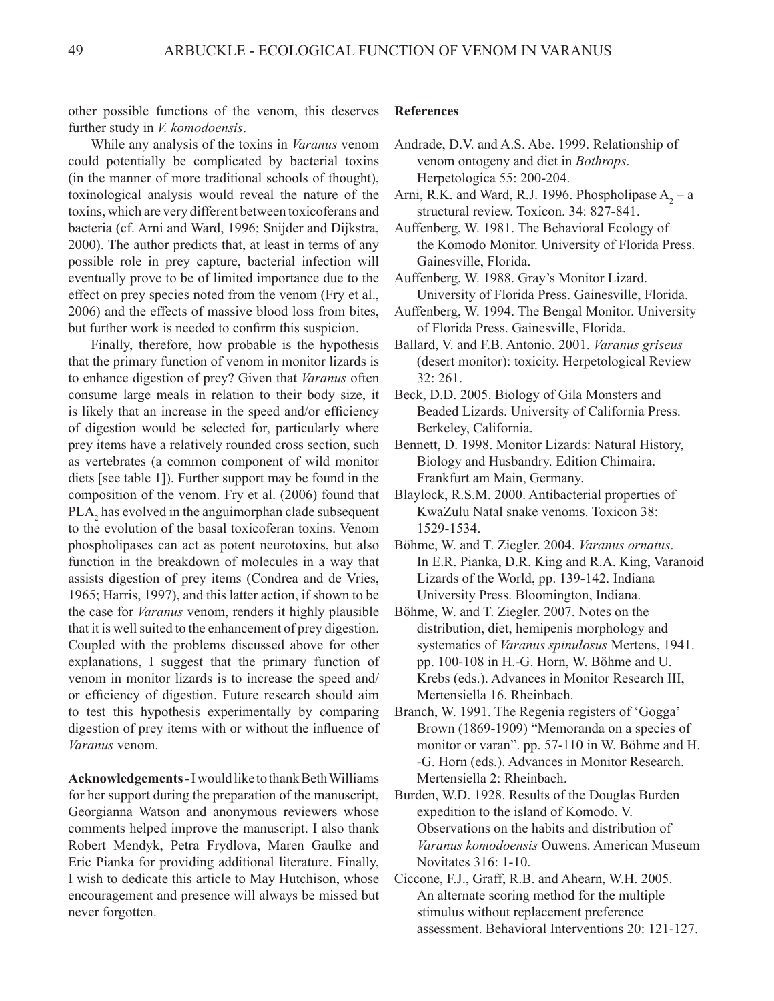other possible functions of the venom, this deserves further study in *V. komodoensis*.

While any analysis of the toxins in *Varanus* venom could potentially be complicated by bacterial toxins (in the manner of more traditional schools of thought), toxinological analysis would reveal the nature of the toxins, which are very different between toxicoferans and bacteria (cf. Arni and Ward, 1996; Snijder and Dijkstra, 2000). The author predicts that, at least in terms of any possible role in prey capture, bacterial infection will eventually prove to be of limited importance due to the effect on prey species noted from the venom (Fry et al., 2006) and the effects of massive blood loss from bites, but further work is needed to confirm this suspicion.

Finally, therefore, how probable is the hypothesis that the primary function of venom in monitor lizards is to enhance digestion of prey? Given that *Varanus* often consume large meals in relation to their body size, it is likely that an increase in the speed and/or efficiency of digestion would be selected for, particularly where prey items have a relatively rounded cross section, such as vertebrates (a common component of wild monitor diets [see table 1]). Further support may be found in the composition of the venom. Fry et al. (2006) found that  $PLA_2$  has evolved in the anguimorphan clade subsequent to the evolution of the basal toxicoferan toxins. Venom phospholipases can act as potent neurotoxins, but also function in the breakdown of molecules in a way that assists digestion of prey items (Condrea and de Vries, 1965; Harris, 1997), and this latter action, if shown to be the case for *Varanus* venom, renders it highly plausible that it is well suited to the enhancement of prey digestion. Coupled with the problems discussed above for other explanations, I suggest that the primary function of venom in monitor lizards is to increase the speed and/ or efficiency of digestion. Future research should aim to test this hypothesis experimentally by comparing digestion of prey items with or without the influence of *Varanus* venom.

**Acknowledgements -**I would like to thank Beth Williams for her support during the preparation of the manuscript, Georgianna Watson and anonymous reviewers whose comments helped improve the manuscript. I also thank Robert Mendyk, Petra Frydlova, Maren Gaulke and Eric Pianka for providing additional literature. Finally, I wish to dedicate this article to May Hutchison, whose encouragement and presence will always be missed but never forgotten.

#### **References**

- Arni, R.K. and Ward, R.J. 1996. Phospholipase  $A_2 a$ structural review. Toxicon. 34: 827-841.
- Auffenberg, W. 1981. The Behavioral Ecology of the Komodo Monitor. University of Florida Press. Gainesville, Florida.

Auffenberg, W. 1988. Gray's Monitor Lizard. University of Florida Press. Gainesville, Florida.

- Auffenberg, W. 1994. The Bengal Monitor. University of Florida Press. Gainesville, Florida.
- Ballard, V. and F.B. Antonio. 2001. *Varanus griseus* (desert monitor): toxicity. Herpetological Review 32: 261.
- Beck, D.D. 2005. Biology of Gila Monsters and Beaded Lizards. University of California Press. Berkeley, California.
- Bennett, D. 1998. Monitor Lizards: Natural History, Biology and Husbandry. Edition Chimaira. Frankfurt am Main, Germany.
- Blaylock, R.S.M. 2000. Antibacterial properties of KwaZulu Natal snake venoms. Toxicon 38: 1529-1534.
- Böhme, W. and T. Ziegler. 2004. *Varanus ornatus*. In E.R. Pianka, D.R. King and R.A. King, Varanoid Lizards of the World, pp. 139-142. Indiana University Press. Bloomington, Indiana.
- Böhme, W. and T. Ziegler. 2007. Notes on the distribution, diet, hemipenis morphology and systematics of *Varanus spinulosus* Mertens, 1941. pp. 100-108 in H.-G. Horn, W. Böhme and U. Krebs (eds.). Advances in Monitor Research III, Mertensiella 16. Rheinbach.
- Branch, W. 1991. The Regenia registers of 'Gogga' Brown (1869-1909) "Memoranda on a species of monitor or varan". pp. 57-110 in W. Böhme and H. -G. Horn (eds.). Advances in Monitor Research. Mertensiella 2: Rheinbach.
- Burden, W.D. 1928. Results of the Douglas Burden expedition to the island of Komodo. V. Observations on the habits and distribution of *Varanus komodoensis* Ouwens. American Museum Novitates 316: 1-10.
- Ciccone, F.J., Graff, R.B. and Ahearn, W.H. 2005. An alternate scoring method for the multiple stimulus without replacement preference assessment. Behavioral Interventions 20: 121-127.

Andrade, D.V. and A.S. Abe. 1999. Relationship of venom ontogeny and diet in *Bothrops*. Herpetologica 55: 200-204.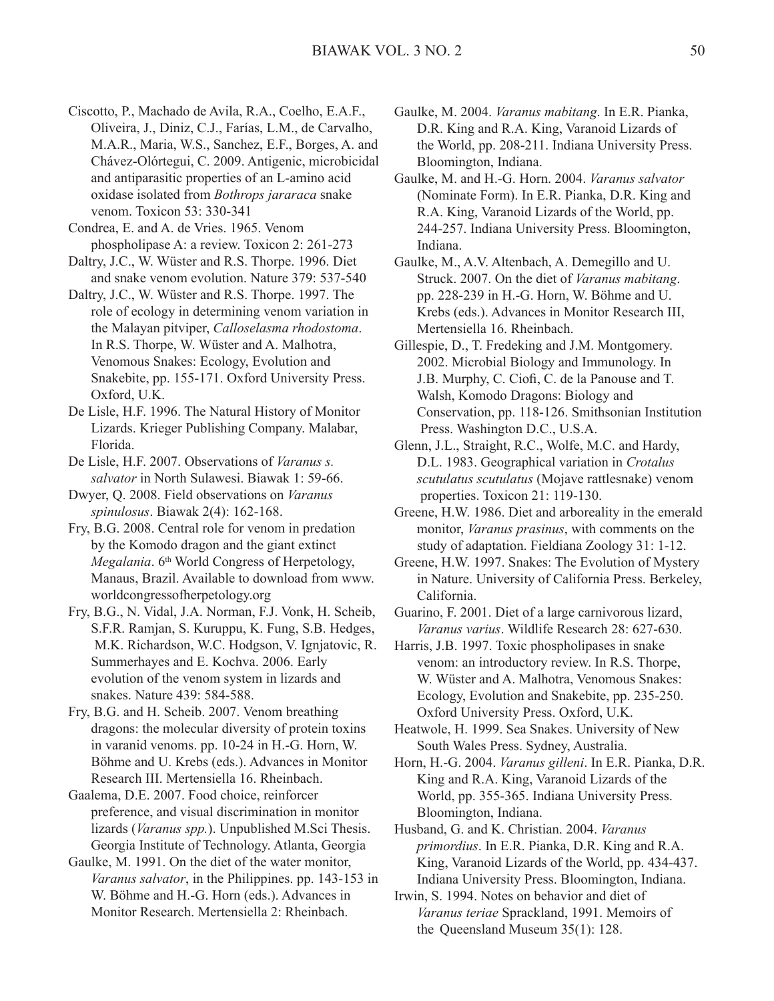- Ciscotto, P., Machado de Avila, R.A., Coelho, E.A.F., Oliveira, J., Diniz, C.J., Farías, L.M., de Carvalho, M.A.R., Maria, W.S., Sanchez, E.F., Borges, A. and Chávez-Olórtegui, C. 2009. Antigenic, microbicidal and antiparasitic properties of an L-amino acid oxidase isolated from *Bothrops jararaca* snake venom. Toxicon 53: 330-341
- Condrea, E. and A. de Vries. 1965. Venom phospholipase A: a review. Toxicon 2: 261-273
- Daltry, J.C., W. Wüster and R.S. Thorpe. 1996. Diet and snake venom evolution. Nature 379: 537-540
- Daltry, J.C., W. Wüster and R.S. Thorpe. 1997. The role of ecology in determining venom variation in the Malayan pitviper, *Calloselasma rhodostoma*. In R.S. Thorpe, W. Wüster and A. Malhotra, Venomous Snakes: Ecology, Evolution and Snakebite, pp. 155-171. Oxford University Press. Oxford, U.K.
- De Lisle, H.F. 1996. The Natural History of Monitor Lizards. Krieger Publishing Company. Malabar, Florida.
- De Lisle, H.F. 2007. Observations of *Varanus s. salvator* in North Sulawesi. Biawak 1: 59-66.
- Dwyer, Q. 2008. Field observations on *Varanus spinulosus*. Biawak 2(4): 162-168.
- Fry, B.G. 2008. Central role for venom in predation by the Komodo dragon and the giant extinct *Megalania*. 6<sup>th</sup> World Congress of Herpetology, Manaus, Brazil. Available to download from www. worldcongressofherpetology.org
- Fry, B.G., N. Vidal, J.A. Norman, F.J. Vonk, H. Scheib, S.F.R. Ramjan, S. Kuruppu, K. Fung, S.B. Hedges, M.K. Richardson, W.C. Hodgson, V. Ignjatovic, R. Summerhayes and E. Kochva. 2006. Early evolution of the venom system in lizards and snakes. Nature 439: 584-588.
- Fry, B.G. and H. Scheib. 2007. Venom breathing dragons: the molecular diversity of protein toxins in varanid venoms. pp. 10-24 in H.-G. Horn, W. Böhme and U. Krebs (eds.). Advances in Monitor Research III. Mertensiella 16. Rheinbach.
- Gaalema, D.E. 2007. Food choice, reinforcer preference, and visual discrimination in monitor lizards (*Varanus spp.*). Unpublished M.Sci Thesis. Georgia Institute of Technology. Atlanta, Georgia
- Gaulke, M. 1991. On the diet of the water monitor, *Varanus salvator*, in the Philippines. pp. 143-153 in W. Böhme and H.-G. Horn (eds.). Advances in Monitor Research. Mertensiella 2: Rheinbach.
- Gaulke, M. 2004. *Varanus mabitang*. In E.R. Pianka, D.R. King and R.A. King, Varanoid Lizards of the World, pp. 208-211. Indiana University Press. Bloomington, Indiana.
- Gaulke, M. and H.-G. Horn. 2004. *Varanus salvator* (Nominate Form). In E.R. Pianka, D.R. King and R.A. King, Varanoid Lizards of the World, pp. 244-257. Indiana University Press. Bloomington, Indiana.
- Gaulke, M., A.V. Altenbach, A. Demegillo and U. Struck. 2007. On the diet of *Varanus mabitang*. pp. 228-239 in H.-G. Horn, W. Böhme and U. Krebs (eds.). Advances in Monitor Research III, Mertensiella 16. Rheinbach.
- Gillespie, D., T. Fredeking and J.M. Montgomery. 2002. Microbial Biology and Immunology. In J.B. Murphy, C. Ciofi, C. de la Panouse and T. Walsh, Komodo Dragons: Biology and Conservation, pp. 118-126. Smithsonian Institution Press. Washington D.C., U.S.A.
- Glenn, J.L., Straight, R.C., Wolfe, M.C. and Hardy, D.L. 1983. Geographical variation in *Crotalus scutulatus scutulatus* (Mojave rattlesnake) venom properties. Toxicon 21: 119-130.
- Greene, H.W. 1986. Diet and arboreality in the emerald monitor, *Varanus prasinus*, with comments on the study of adaptation. Fieldiana Zoology 31: 1-12.
- Greene, H.W. 1997. Snakes: The Evolution of Mystery in Nature. University of California Press. Berkeley, California.
- Guarino, F. 2001. Diet of a large carnivorous lizard, *Varanus varius*. Wildlife Research 28: 627-630.
- Harris, J.B. 1997. Toxic phospholipases in snake venom: an introductory review. In R.S. Thorpe, W. Wüster and A. Malhotra, Venomous Snakes: Ecology, Evolution and Snakebite, pp. 235-250. Oxford University Press. Oxford, U.K.
- Heatwole, H. 1999. Sea Snakes. University of New South Wales Press. Sydney, Australia.
- Horn, H.-G. 2004. *Varanus gilleni*. In E.R. Pianka, D.R. King and R.A. King, Varanoid Lizards of the World, pp. 355-365. Indiana University Press. Bloomington, Indiana.
- Husband, G. and K. Christian. 2004. *Varanus primordius*. In E.R. Pianka, D.R. King and R.A. King, Varanoid Lizards of the World, pp. 434-437. Indiana University Press. Bloomington, Indiana.
- Irwin, S. 1994. Notes on behavior and diet of *Varanus teriae* Sprackland, 1991. Memoirs of the Queensland Museum 35(1): 128.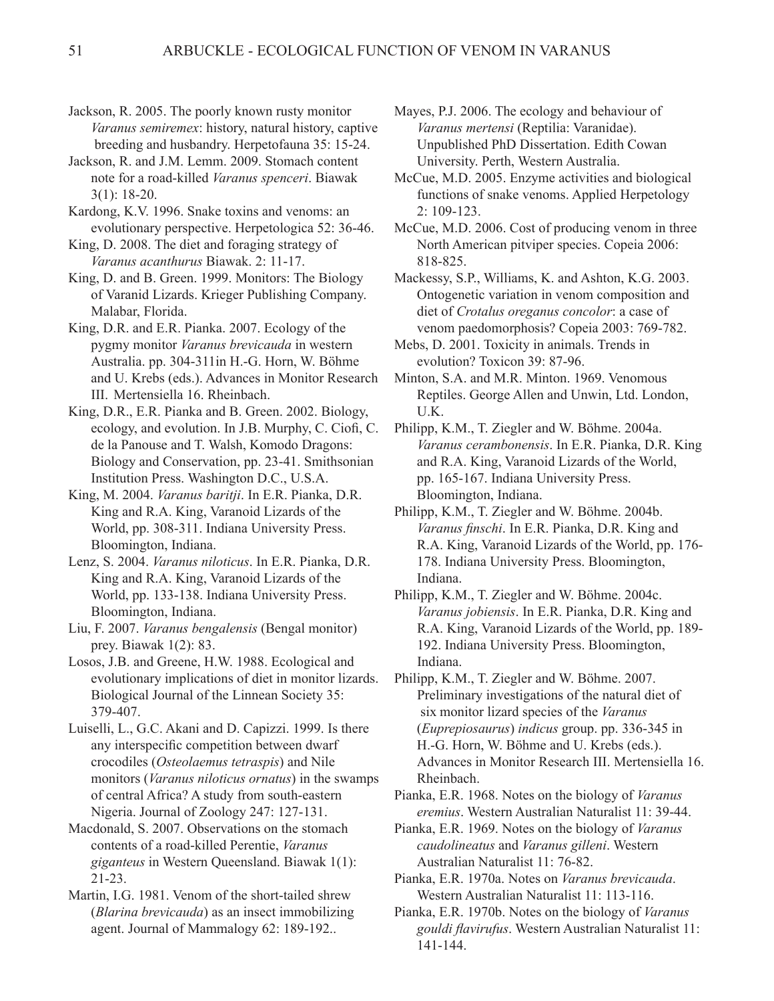Jackson, R. 2005. The poorly known rusty monitor *Varanus semiremex*: history, natural history, captive breeding and husbandry. Herpetofauna 35: 15-24.

Jackson, R. and J.M. Lemm. 2009. Stomach content note for a road-killed *Varanus spenceri*. Biawak 3(1): 18-20.

Kardong, K.V. 1996. Snake toxins and venoms: an evolutionary perspective. Herpetologica 52: 36-46.

King, D. 2008. The diet and foraging strategy of *Varanus acanthurus* Biawak. 2: 11-17.

King, D. and B. Green. 1999. Monitors: The Biology of Varanid Lizards. Krieger Publishing Company. Malabar, Florida.

King, D.R. and E.R. Pianka. 2007. Ecology of the pygmy monitor *Varanus brevicauda* in western Australia. pp. 304-311in H.-G. Horn, W. Böhme and U. Krebs (eds.). Advances in Monitor Research III. Mertensiella 16. Rheinbach.

King, D.R., E.R. Pianka and B. Green. 2002. Biology, ecology, and evolution. In J.B. Murphy, C. Ciofi, C. de la Panouse and T. Walsh, Komodo Dragons: Biology and Conservation, pp. 23-41. Smithsonian Institution Press. Washington D.C., U.S.A.

King, M. 2004. *Varanus baritji*. In E.R. Pianka, D.R. King and R.A. King, Varanoid Lizards of the World, pp. 308-311. Indiana University Press. Bloomington, Indiana.

Lenz, S. 2004. *Varanus niloticus*. In E.R. Pianka, D.R. King and R.A. King, Varanoid Lizards of the World, pp. 133-138. Indiana University Press. Bloomington, Indiana.

Liu, F. 2007. *Varanus bengalensis* (Bengal monitor) prey. Biawak 1(2): 83.

Losos, J.B. and Greene, H.W. 1988. Ecological and evolutionary implications of diet in monitor lizards. Biological Journal of the Linnean Society 35: 379-407.

Luiselli, L., G.C. Akani and D. Capizzi. 1999. Is there any interspecific competition between dwarf crocodiles (*Osteolaemus tetraspis*) and Nile monitors (*Varanus niloticus ornatus*) in the swamps of central Africa? A study from south-eastern Nigeria. Journal of Zoology 247: 127-131.

Macdonald, S. 2007. Observations on the stomach contents of a road-killed Perentie, *Varanus giganteus* in Western Queensland. Biawak 1(1): 21-23.

Martin, I.G. 1981. Venom of the short-tailed shrew (*Blarina brevicauda*) as an insect immobilizing agent. Journal of Mammalogy 62: 189-192..

Mayes, P.J. 2006. The ecology and behaviour of *Varanus mertensi* (Reptilia: Varanidae). Unpublished PhD Dissertation. Edith Cowan University. Perth, Western Australia.

McCue, M.D. 2005. Enzyme activities and biological functions of snake venoms. Applied Herpetology 2: 109-123.

McCue, M.D. 2006. Cost of producing venom in three North American pitviper species. Copeia 2006: 818-825.

Mackessy, S.P., Williams, K. and Ashton, K.G. 2003. Ontogenetic variation in venom composition and diet of *Crotalus oreganus concolor*: a case of venom paedomorphosis? Copeia 2003: 769-782.

Mebs, D. 2001. Toxicity in animals. Trends in evolution? Toxicon 39: 87-96.

Minton, S.A. and M.R. Minton. 1969. Venomous Reptiles. George Allen and Unwin, Ltd. London, U.K.

Philipp, K.M., T. Ziegler and W. Böhme. 2004a. *Varanus cerambonensis*. In E.R. Pianka, D.R. King and R.A. King, Varanoid Lizards of the World, pp. 165-167. Indiana University Press. Bloomington, Indiana.

Philipp, K.M., T. Ziegler and W. Böhme. 2004b. *Varanus finschi*. In E.R. Pianka, D.R. King and R.A. King, Varanoid Lizards of the World, pp. 176- 178. Indiana University Press. Bloomington, Indiana.

Philipp, K.M., T. Ziegler and W. Böhme. 2004c. *Varanus jobiensis*. In E.R. Pianka, D.R. King and R.A. King, Varanoid Lizards of the World, pp. 189- 192. Indiana University Press. Bloomington, Indiana.

Philipp, K.M., T. Ziegler and W. Böhme. 2007. Preliminary investigations of the natural diet of six monitor lizard species of the *Varanus* (*Euprepiosaurus*) *indicus* group. pp. 336-345 in H.-G. Horn, W. Böhme and U. Krebs (eds.). Advances in Monitor Research III. Mertensiella 16. Rheinbach.

Pianka, E.R. 1968. Notes on the biology of *Varanus eremius*. Western Australian Naturalist 11: 39-44.

Pianka, E.R. 1969. Notes on the biology of *Varanus caudolineatus* and *Varanus gilleni*. Western Australian Naturalist 11: 76-82.

Pianka, E.R. 1970a. Notes on *Varanus brevicauda*. Western Australian Naturalist 11: 113-116.

Pianka, E.R. 1970b. Notes on the biology of *Varanus gouldi flavirufus*. Western Australian Naturalist 11: 141-144.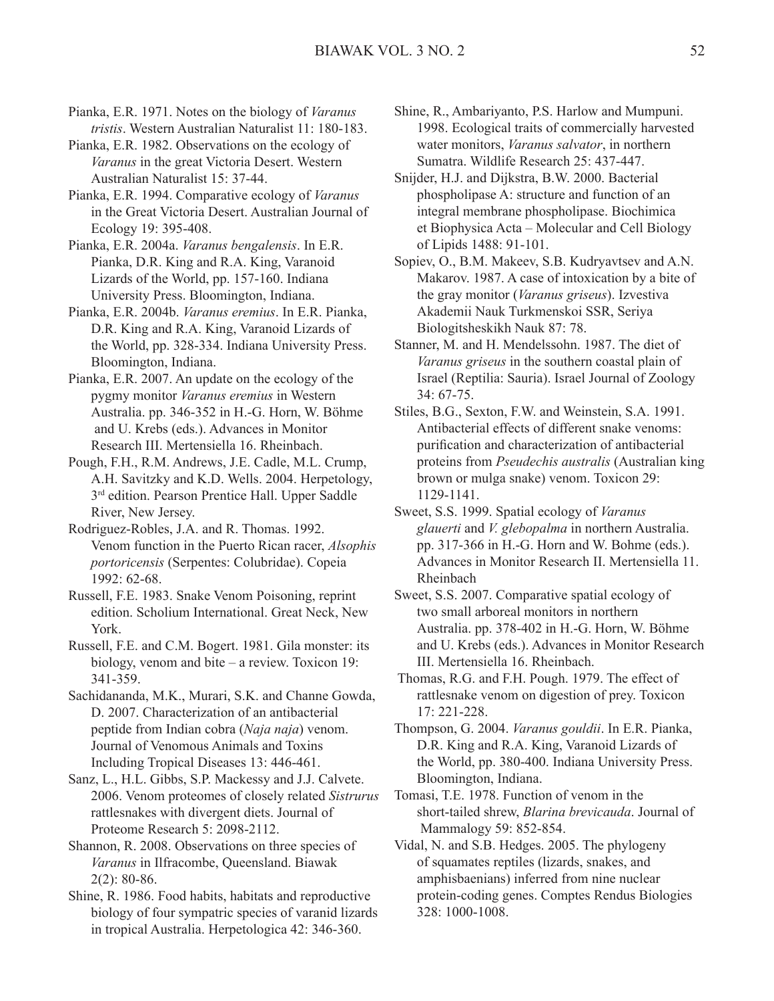- Pianka, E.R. 1971. Notes on the biology of *Varanus tristis*. Western Australian Naturalist 11: 180-183.
- Pianka, E.R. 1982. Observations on the ecology of *Varanus* in the great Victoria Desert. Western Australian Naturalist 15: 37-44.
- Pianka, E.R. 1994. Comparative ecology of *Varanus* in the Great Victoria Desert. Australian Journal of Ecology 19: 395-408.
- Pianka, E.R. 2004a. *Varanus bengalensis*. In E.R. Pianka, D.R. King and R.A. King, Varanoid Lizards of the World, pp. 157-160. Indiana University Press. Bloomington, Indiana.
- Pianka, E.R. 2004b. *Varanus eremius*. In E.R. Pianka, D.R. King and R.A. King, Varanoid Lizards of the World, pp. 328-334. Indiana University Press. Bloomington, Indiana.
- Pianka, E.R. 2007. An update on the ecology of the pygmy monitor *Varanus eremius* in Western Australia. pp. 346-352 in H.-G. Horn, W. Böhme and U. Krebs (eds.). Advances in Monitor Research III. Mertensiella 16. Rheinbach.
- Pough, F.H., R.M. Andrews, J.E. Cadle, M.L. Crump, A.H. Savitzky and K.D. Wells. 2004. Herpetology, 3rd edition. Pearson Prentice Hall. Upper Saddle River, New Jersey.
- Rodriguez-Robles, J.A. and R. Thomas. 1992. Venom function in the Puerto Rican racer, *Alsophis portoricensis* (Serpentes: Colubridae). Copeia 1992: 62-68.
- Russell, F.E. 1983. Snake Venom Poisoning, reprint edition. Scholium International. Great Neck, New York.
- Russell, F.E. and C.M. Bogert. 1981. Gila monster: its biology, venom and bite – a review. Toxicon 19: 341-359.
- Sachidananda, M.K., Murari, S.K. and Channe Gowda, D. 2007. Characterization of an antibacterial peptide from Indian cobra (*Naja naja*) venom. Journal of Venomous Animals and Toxins Including Tropical Diseases 13: 446-461.
- Sanz, L., H.L. Gibbs, S.P. Mackessy and J.J. Calvete. 2006. Venom proteomes of closely related *Sistrurus* rattlesnakes with divergent diets. Journal of Proteome Research 5: 2098-2112.
- Shannon, R. 2008. Observations on three species of *Varanus* in Ilfracombe, Queensland. Biawak 2(2): 80-86.
- Shine, R. 1986. Food habits, habitats and reproductive biology of four sympatric species of varanid lizards in tropical Australia. Herpetologica 42: 346-360.
- Shine, R., Ambariyanto, P.S. Harlow and Mumpuni. 1998. Ecological traits of commercially harvested water monitors, *Varanus salvator*, in northern Sumatra. Wildlife Research 25: 437-447.
- Snijder, H.J. and Dijkstra, B.W. 2000. Bacterial phospholipase A: structure and function of an integral membrane phospholipase. Biochimica et Biophysica Acta – Molecular and Cell Biology of Lipids 1488: 91-101.
- Sopiev, O., B.M. Makeev, S.B. Kudryavtsev and A.N. Makarov. 1987. A case of intoxication by a bite of the gray monitor (*Varanus griseus*). Izvestiva Akademii Nauk Turkmenskoi SSR, Seriya Biologitsheskikh Nauk 87: 78.
- Stanner, M. and H. Mendelssohn. 1987. The diet of *Varanus griseus* in the southern coastal plain of Israel (Reptilia: Sauria). Israel Journal of Zoology 34: 67-75.
- Stiles, B.G., Sexton, F.W. and Weinstein, S.A. 1991. Antibacterial effects of different snake venoms: purification and characterization of antibacterial proteins from *Pseudechis australis* (Australian king brown or mulga snake) venom. Toxicon 29: 1129-1141.
- Sweet, S.S. 1999. Spatial ecology of *Varanus glauerti* and *V. glebopalma* in northern Australia. pp. 317-366 in H.-G. Horn and W. Bohme (eds.). Advances in Monitor Research II. Mertensiella 11. Rheinbach
- Sweet, S.S. 2007. Comparative spatial ecology of two small arboreal monitors in northern Australia. pp. 378-402 in H.-G. Horn, W. Böhme and U. Krebs (eds.). Advances in Monitor Research III. Mertensiella 16. Rheinbach.
- Thomas, R.G. and F.H. Pough. 1979. The effect of rattlesnake venom on digestion of prey. Toxicon 17: 221-228.
- Thompson, G. 2004. *Varanus gouldii*. In E.R. Pianka, D.R. King and R.A. King, Varanoid Lizards of the World, pp. 380-400. Indiana University Press. Bloomington, Indiana.
- Tomasi, T.E. 1978. Function of venom in the short-tailed shrew, *Blarina brevicauda*. Journal of Mammalogy 59: 852-854.
- Vidal, N. and S.B. Hedges. 2005. The phylogeny of squamates reptiles (lizards, snakes, and amphisbaenians) inferred from nine nuclear protein-coding genes. Comptes Rendus Biologies 328: 1000-1008.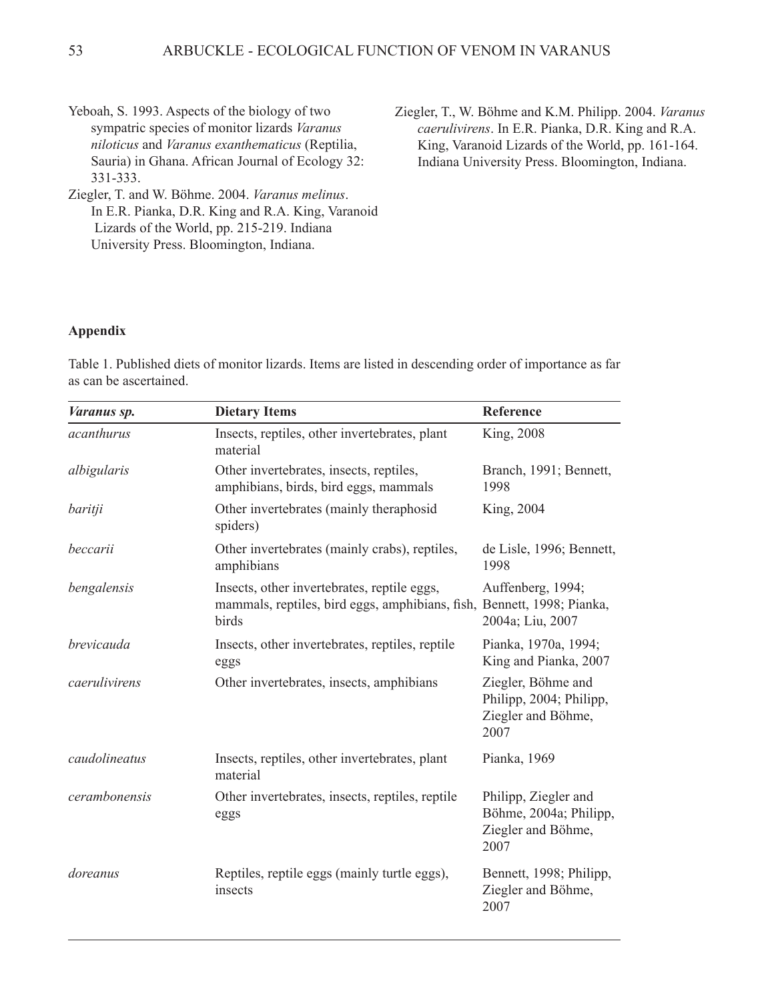- Yeboah, S. 1993. Aspects of the biology of two sympatric species of monitor lizards *Varanus niloticus* and *Varanus exanthematicus* (Reptilia, Sauria) in Ghana. African Journal of Ecology 32: 331-333.
- Ziegler, T. and W. Böhme. 2004. *Varanus melinus*. In E.R. Pianka, D.R. King and R.A. King, Varanoid Lizards of the World, pp. 215-219. Indiana University Press. Bloomington, Indiana.

Ziegler, T., W. Böhme and K.M. Philipp. 2004. *Varanus caerulivirens*. In E.R. Pianka, D.R. King and R.A. King, Varanoid Lizards of the World, pp. 161-164. Indiana University Press. Bloomington, Indiana.

#### **Appendix**

Table 1. Published diets of monitor lizards. Items are listed in descending order of importance as far as can be ascertained.

| Varanus sp.   | <b>Dietary Items</b>                                                                                                           | Reference                                                                    |
|---------------|--------------------------------------------------------------------------------------------------------------------------------|------------------------------------------------------------------------------|
| acanthurus    | Insects, reptiles, other invertebrates, plant<br>material                                                                      | King, 2008                                                                   |
| albigularis   | Other invertebrates, insects, reptiles,<br>amphibians, birds, bird eggs, mammals                                               | Branch, 1991; Bennett,<br>1998                                               |
| baritji       | Other invertebrates (mainly theraphosid<br>spiders)                                                                            | King, 2004                                                                   |
| beccarii      | Other invertebrates (mainly crabs), reptiles,<br>amphibians                                                                    | de Lisle, 1996; Bennett,<br>1998                                             |
| bengalensis   | Insects, other invertebrates, reptile eggs,<br>mammals, reptiles, bird eggs, amphibians, fish, Bennett, 1998; Pianka,<br>birds | Auffenberg, 1994;<br>2004a; Liu, 2007                                        |
| brevicauda    | Insects, other invertebrates, reptiles, reptile<br>eggs                                                                        | Pianka, 1970a, 1994;<br>King and Pianka, 2007                                |
| caerulivirens | Other invertebrates, insects, amphibians                                                                                       | Ziegler, Böhme and<br>Philipp, 2004; Philipp,<br>Ziegler and Böhme,<br>2007  |
| caudolineatus | Insects, reptiles, other invertebrates, plant<br>material                                                                      | Pianka, 1969                                                                 |
| cerambonensis | Other invertebrates, insects, reptiles, reptile<br>eggs                                                                        | Philipp, Ziegler and<br>Böhme, 2004a; Philipp,<br>Ziegler and Böhme,<br>2007 |
| doreanus      | Reptiles, reptile eggs (mainly turtle eggs),<br>insects                                                                        | Bennett, 1998; Philipp,<br>Ziegler and Böhme,<br>2007                        |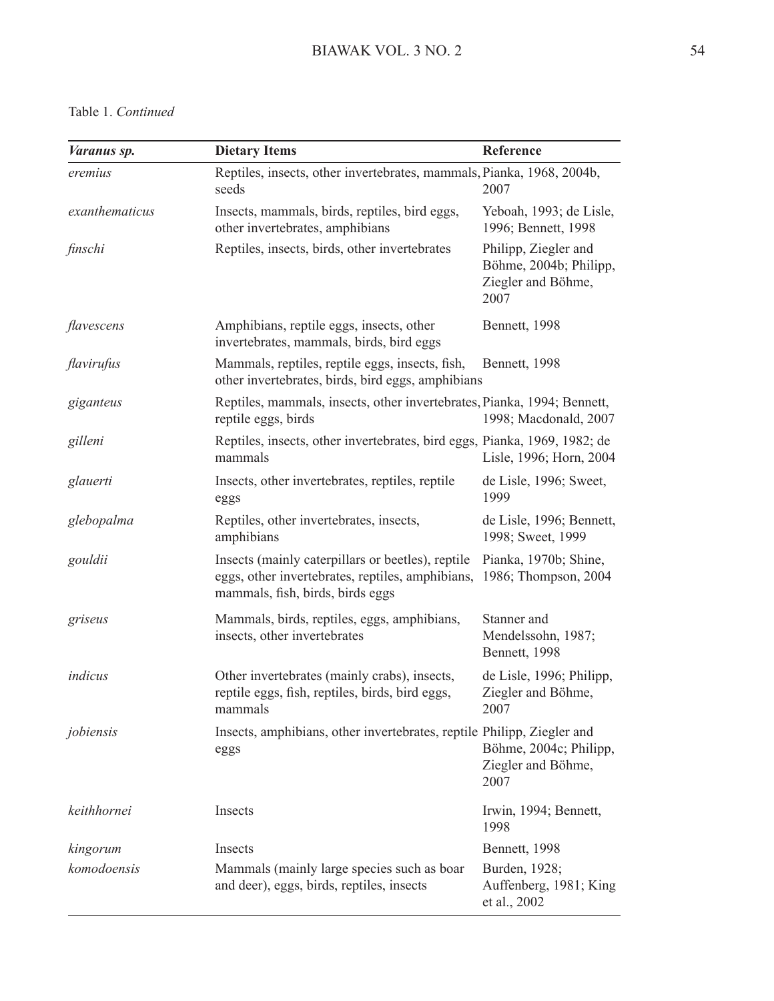### Table 1. *Continued*

| <i>Varanus sp.</i> | <b>Dietary Items</b>                                                                                                                      | Reference                                                                    |
|--------------------|-------------------------------------------------------------------------------------------------------------------------------------------|------------------------------------------------------------------------------|
| eremius            | Reptiles, insects, other invertebrates, mammals, Pianka, 1968, 2004b,<br>seeds                                                            | 2007                                                                         |
| exanthematicus     | Insects, mammals, birds, reptiles, bird eggs,<br>other invertebrates, amphibians                                                          | Yeboah, 1993; de Lisle,<br>1996; Bennett, 1998                               |
| finschi            | Reptiles, insects, birds, other invertebrates                                                                                             | Philipp, Ziegler and<br>Böhme, 2004b; Philipp,<br>Ziegler and Böhme,<br>2007 |
| flavescens         | Amphibians, reptile eggs, insects, other<br>invertebrates, mammals, birds, bird eggs                                                      | Bennett, 1998                                                                |
| flavirufus         | Mammals, reptiles, reptile eggs, insects, fish,<br>other invertebrates, birds, bird eggs, amphibians                                      | Bennett, 1998                                                                |
| giganteus          | Reptiles, mammals, insects, other invertebrates, Pianka, 1994; Bennett,<br>reptile eggs, birds                                            | 1998; Macdonald, 2007                                                        |
| gilleni            | Reptiles, insects, other invertebrates, bird eggs, Pianka, 1969, 1982; de<br>mammals                                                      | Lisle, 1996; Horn, 2004                                                      |
| glauerti           | Insects, other invertebrates, reptiles, reptile<br>eggs                                                                                   | de Lisle, 1996; Sweet,<br>1999                                               |
| glebopalma         | Reptiles, other invertebrates, insects,<br>amphibians                                                                                     | de Lisle, 1996; Bennett,<br>1998; Sweet, 1999                                |
| gouldii            | Insects (mainly caterpillars or beetles), reptile<br>eggs, other invertebrates, reptiles, amphibians,<br>mammals, fish, birds, birds eggs | Pianka, 1970b; Shine,<br>1986; Thompson, 2004                                |
| griseus            | Mammals, birds, reptiles, eggs, amphibians,<br>insects, other invertebrates                                                               | Stanner and<br>Mendelssohn, 1987;<br>Bennett, 1998                           |
| indicus            | Other invertebrates (mainly crabs), insects,<br>reptile eggs, fish, reptiles, birds, bird eggs,<br>mammals                                | de Lisle, 1996; Philipp,<br>Ziegler and Böhme,<br>2007                       |
| jobiensis          | Insects, amphibians, other invertebrates, reptile Philipp, Ziegler and<br>eggs                                                            | Böhme, 2004c; Philipp,<br>Ziegler and Böhme,<br>2007                         |
| keithhornei        | Insects                                                                                                                                   | Irwin, 1994; Bennett,<br>1998                                                |
| kingorum           | Insects                                                                                                                                   | Bennett, 1998                                                                |
| komodoensis        | Mammals (mainly large species such as boar<br>and deer), eggs, birds, reptiles, insects                                                   | Burden, 1928;<br>Auffenberg, 1981; King<br>et al., 2002                      |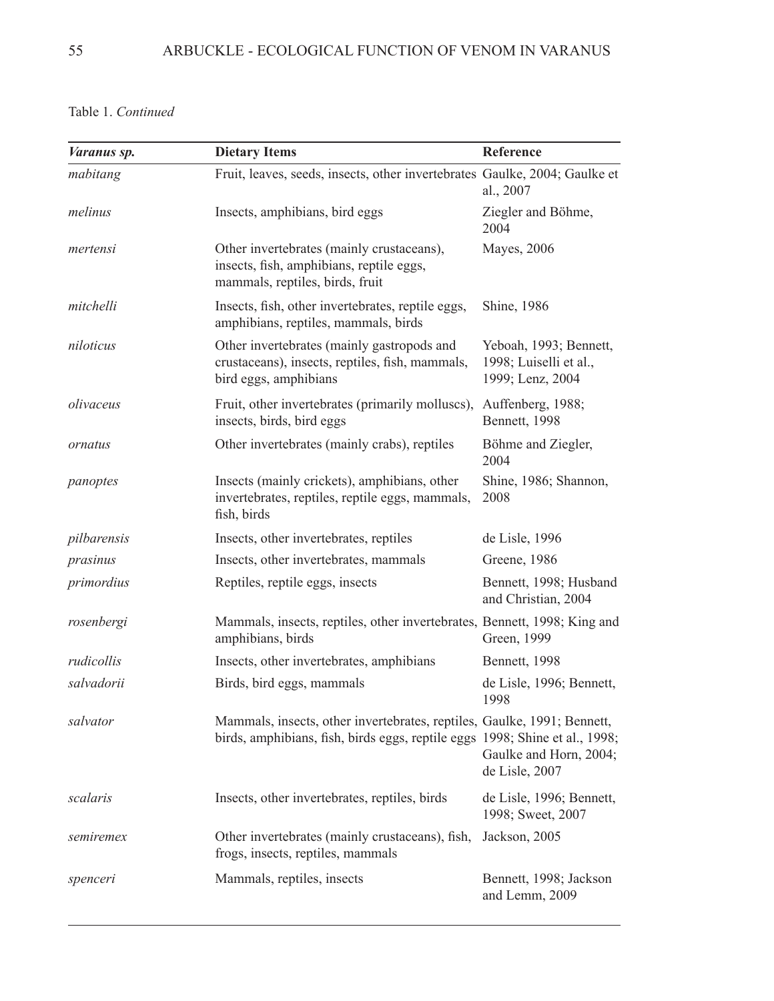Table 1. *Continued*

| Varanus sp. | <b>Dietary Items</b>                                                                                                                                   | Reference                                                            |
|-------------|--------------------------------------------------------------------------------------------------------------------------------------------------------|----------------------------------------------------------------------|
| mabitang    | Fruit, leaves, seeds, insects, other invertebrates Gaulke, 2004; Gaulke et                                                                             | al., 2007                                                            |
| melinus     | Insects, amphibians, bird eggs                                                                                                                         | Ziegler and Böhme,<br>2004                                           |
| mertensi    | Other invertebrates (mainly crustaceans),<br>insects, fish, amphibians, reptile eggs,<br>mammals, reptiles, birds, fruit                               | Mayes, 2006                                                          |
| mitchelli   | Insects, fish, other invertebrates, reptile eggs,<br>amphibians, reptiles, mammals, birds                                                              | Shine, 1986                                                          |
| niloticus   | Other invertebrates (mainly gastropods and<br>crustaceans), insects, reptiles, fish, mammals,<br>bird eggs, amphibians                                 | Yeboah, 1993; Bennett,<br>1998; Luiselli et al.,<br>1999; Lenz, 2004 |
| olivaceus   | Fruit, other invertebrates (primarily molluscs),<br>insects, birds, bird eggs                                                                          | Auffenberg, 1988;<br>Bennett, 1998                                   |
| ornatus     | Other invertebrates (mainly crabs), reptiles                                                                                                           | Böhme and Ziegler,<br>2004                                           |
| panoptes    | Insects (mainly crickets), amphibians, other<br>invertebrates, reptiles, reptile eggs, mammals,<br>fish, birds                                         | Shine, 1986; Shannon,<br>2008                                        |
| pilbarensis | Insects, other invertebrates, reptiles                                                                                                                 | de Lisle, 1996                                                       |
| prasinus    | Insects, other invertebrates, mammals                                                                                                                  | Greene, 1986                                                         |
| primordius  | Reptiles, reptile eggs, insects                                                                                                                        | Bennett, 1998; Husband<br>and Christian, 2004                        |
| rosenbergi  | Mammals, insects, reptiles, other invertebrates, Bennett, 1998; King and<br>amphibians, birds                                                          | Green, 1999                                                          |
| rudicollis  | Insects, other invertebrates, amphibians                                                                                                               | Bennett, 1998                                                        |
| salvadorii  | Birds, bird eggs, mammals                                                                                                                              | de Lisle, 1996; Bennett,<br>1998                                     |
| salvator    | Mammals, insects, other invertebrates, reptiles, Gaulke, 1991; Bennett,<br>birds, amphibians, fish, birds eggs, reptile eggs 1998; Shine et al., 1998; | Gaulke and Horn, 2004;<br>de Lisle, 2007                             |
| scalaris    | Insects, other invertebrates, reptiles, birds                                                                                                          | de Lisle, 1996; Bennett,<br>1998; Sweet, 2007                        |
| semiremex   | Other invertebrates (mainly crustaceans), fish,<br>frogs, insects, reptiles, mammals                                                                   | Jackson, 2005                                                        |
| spenceri    | Mammals, reptiles, insects                                                                                                                             | Bennett, 1998; Jackson<br>and Lemm, 2009                             |